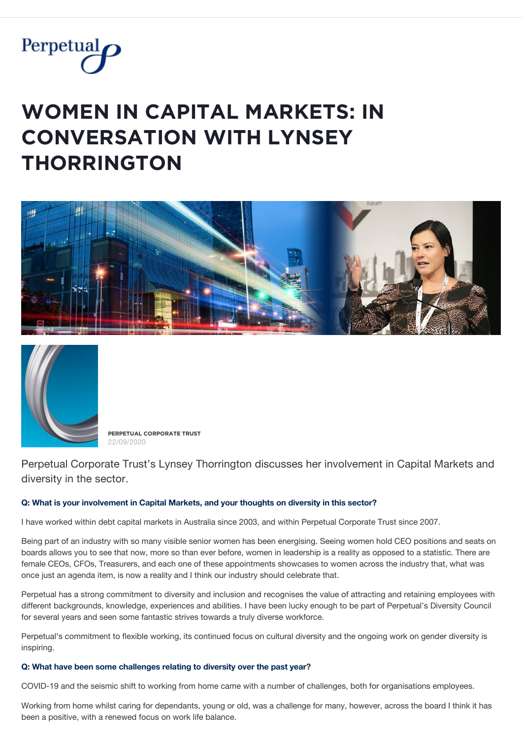

# **WOMEN IN CAPITAL MARKETS: IN**  $\Gamma$  **CONVERSATION WITH LYNSEY**  $THORRINGTON$





**PĚŘPĚȚŲǺĿ ČǾŘPǾŘǺȚĚ ȚŘŲȘȚ** 22/09/2020

Perpetual Corporate Trust's Lynsey Thorrington discusses her involvement in Capital Markets and diversity in the sector.

## **Q: What is your involvement in Capital Markets, and your thoughts on diversity in this sector?**

I have worked within debt capital markets in Australia since 2003, and within Perpetual Corporate Trust since 2007.

Being part of an industry with so many visible senior women has been energising. Seeing women hold CEO positions and seats on boards allows you to see that now, more so than ever before, women in leadership is a reality as opposed to a statistic. There are female CEOs, CFOs, Treasurers, and each one of these appointments showcases to women across the industry that, what was once just an agenda item, is now a reality and I think our industry should celebrate that.

Perpetual has a strong commitment to diversity and inclusion and recognises the value of attracting and retaining employees with different backgrounds, knowledge, experiences and abilities. I have been lucky enough to be part of Perpetual's Diversity Council for several years and seen some fantastic strives towards a truly diverse workforce.

Perpetual's commitment to flexible working, its continued focus on cultural diversity and the ongoing work on gender diversity is inspiring.

### **Q: What have been some challenges relating to diversity over the past year?**

COVID-19 and the seismic shift to working from home came with a number of challenges, both for organisations employees.

Working from home whilst caring for dependants, young or old, was a challenge for many, however, across the board I think it has been a positive, with a renewed focus on work life balance.